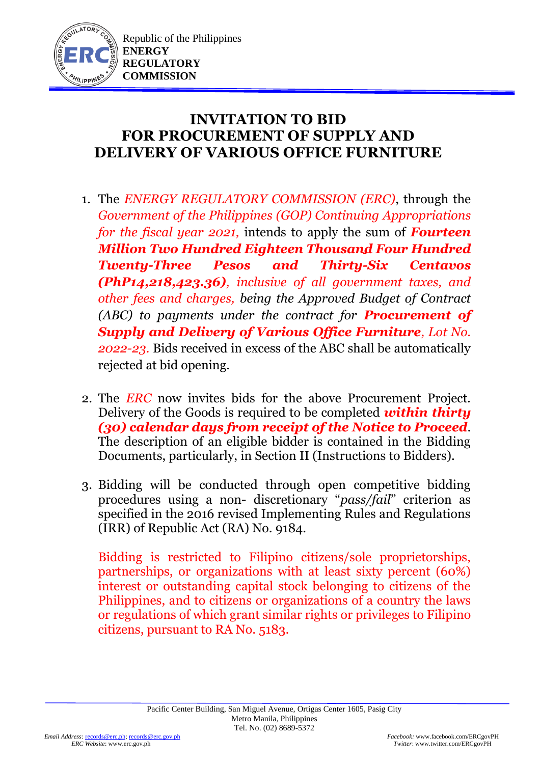

Republic of the Philippines **ENERGY REGULATORY COMMISSION**

## **INVITATION TO BID FOR PROCUREMENT OF SUPPLY AND DELIVERY OF VARIOUS OFFICE FURNITURE**

- 1. The *ENERGY REGULATORY COMMISSION (ERC)*, through the *Government of the Philippines (GOP) Continuing Appropriations for the fiscal year 2021, intends to apply the sum of <i>Fourteen Million Two Hundred Eighteen Thousand Four Hundred Twenty-Three Pesos and Thirty-Six Centavos (PhP14,218,423.36), inclusive of all government taxes, and other fees and charges, being the Approved Budget of Contract (ABC) to payments under the contract for Procurement of Supply and Delivery of Various Office Furniture, Lot No. 2022-23.* Bids received in excess of the ABC shall be automatically rejected at bid opening.
- 2. The *ERC* now invites bids for the above Procurement Project. Delivery of the Goods is required to be completed *within thirty (30) calendar days from receipt of the Notice to Proceed*. The description of an eligible bidder is contained in the Bidding Documents, particularly, in Section II (Instructions to Bidders).
- 3. Bidding will be conducted through open competitive bidding procedures using a non- discretionary "*pass/fail*" criterion as specified in the 2016 revised Implementing Rules and Regulations (IRR) of Republic Act (RA) No. 9184.

Bidding is restricted to Filipino citizens/sole proprietorships, partnerships, or organizations with at least sixty percent (60%) interest or outstanding capital stock belonging to citizens of the Philippines, and to citizens or organizations of a country the laws or regulations of which grant similar rights or privileges to Filipino citizens, pursuant to RA No. 5183.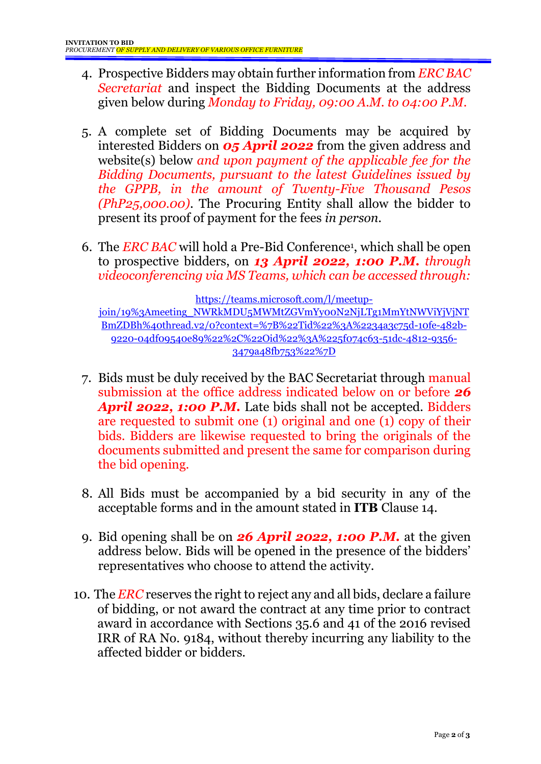- 4. Prospective Bidders may obtain further information from *ERC BAC Secretariat* and inspect the Bidding Documents at the address given below during *Monday to Friday, 09:00 A.M. to 04:00 P.M*.
- 5. A complete set of Bidding Documents may be acquired by interested Bidders on *05 April 2022* from the given address and website(s) below *and upon payment of the applicable fee for the Bidding Documents, pursuant to the latest Guidelines issued by the GPPB, in the amount of Twenty-Five Thousand Pesos (PhP25,000.00)*. The Procuring Entity shall allow the bidder to present its proof of payment for the fees *in person.*
- 6. The *ERC BAC* will hold a Pre-Bid Conference<sup>1</sup> , which shall be open to prospective bidders, on *13 April 2022, 1:00 P.M. through videoconferencing via MS Teams, which can be accessed through:*

[https://teams.microsoft.com/l/meetup-](https://teams.microsoft.com/l/meetup-join/19%3Ameeting_NWRkMDU5MWMtZGVmYy00N2NjLTg1MmYtNWViYjVjNTBmZDBh%40thread.v2/0?context=%7B%22Tid%22%3A%2234a3c75d-10fe-482b-9220-04df09540e89%22%2C%22Oid%22%3A%225f074c63-51dc-4812-9356-3479a48fb753%22%7D)

[join/19%3Ameeting\\_NWRkMDU5MWMtZGVmYy00N2NjLTg1MmYtNWViYjVjNT](https://teams.microsoft.com/l/meetup-join/19%3Ameeting_NWRkMDU5MWMtZGVmYy00N2NjLTg1MmYtNWViYjVjNTBmZDBh%40thread.v2/0?context=%7B%22Tid%22%3A%2234a3c75d-10fe-482b-9220-04df09540e89%22%2C%22Oid%22%3A%225f074c63-51dc-4812-9356-3479a48fb753%22%7D) [BmZDBh%40thread.v2/0?context=%7B%22Tid%22%3A%2234a3c75d-10fe-482b-](https://teams.microsoft.com/l/meetup-join/19%3Ameeting_NWRkMDU5MWMtZGVmYy00N2NjLTg1MmYtNWViYjVjNTBmZDBh%40thread.v2/0?context=%7B%22Tid%22%3A%2234a3c75d-10fe-482b-9220-04df09540e89%22%2C%22Oid%22%3A%225f074c63-51dc-4812-9356-3479a48fb753%22%7D)[9220-04df09540e89%22%2C%22Oid%22%3A%225f074c63-51dc-4812-9356-](https://teams.microsoft.com/l/meetup-join/19%3Ameeting_NWRkMDU5MWMtZGVmYy00N2NjLTg1MmYtNWViYjVjNTBmZDBh%40thread.v2/0?context=%7B%22Tid%22%3A%2234a3c75d-10fe-482b-9220-04df09540e89%22%2C%22Oid%22%3A%225f074c63-51dc-4812-9356-3479a48fb753%22%7D) [3479a48fb753%22%7D](https://teams.microsoft.com/l/meetup-join/19%3Ameeting_NWRkMDU5MWMtZGVmYy00N2NjLTg1MmYtNWViYjVjNTBmZDBh%40thread.v2/0?context=%7B%22Tid%22%3A%2234a3c75d-10fe-482b-9220-04df09540e89%22%2C%22Oid%22%3A%225f074c63-51dc-4812-9356-3479a48fb753%22%7D)

- 7. Bids must be duly received by the BAC Secretariat through manual submission at the office address indicated below on or before *26*  April 2022, 1:00 P.M. Late bids shall not be accepted. Bidders are requested to submit one (1) original and one (1) copy of their bids. Bidders are likewise requested to bring the originals of the documents submitted and present the same for comparison during the bid opening.
- 8. All Bids must be accompanied by a bid security in any of the acceptable forms and in the amount stated in **ITB** Clause 14.
- 9. Bid opening shall be on *26 April 2022, 1:00 P.M.* at the given address below. Bids will be opened in the presence of the bidders' representatives who choose to attend the activity.
- 10. The *ERC* reserves the right to reject any and all bids, declare a failure of bidding, or not award the contract at any time prior to contract award in accordance with Sections 35.6 and 41 of the 2016 revised IRR of RA No. 9184, without thereby incurring any liability to the affected bidder or bidders.